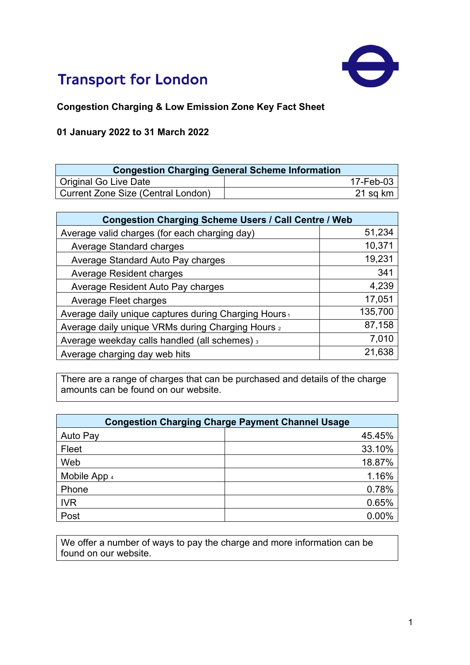

## **Transport for London**

## **Congestion Charging & Low Emission Zone Key Fact Sheet**

## **01 January 2022 to 31 March 2022**

| <b>Congestion Charging General Scheme Information</b> |           |
|-------------------------------------------------------|-----------|
| <b>Original Go Live Date</b>                          | 17-Feb-03 |
| <b>Current Zone Size (Central London)</b>             | 21 sq km  |

| <b>Congestion Charging Scheme Users / Call Centre / Web</b> |         |  |
|-------------------------------------------------------------|---------|--|
| Average valid charges (for each charging day)               | 51,234  |  |
| Average Standard charges                                    | 10,371  |  |
| Average Standard Auto Pay charges                           | 19,231  |  |
| Average Resident charges                                    | 341     |  |
| Average Resident Auto Pay charges                           | 4,239   |  |
| Average Fleet charges                                       | 17,051  |  |
| Average daily unique captures during Charging Hours,        | 135,700 |  |
| Average daily unique VRMs during Charging Hours 2           | 87,158  |  |
| Average weekday calls handled (all schemes) 3               | 7,010   |  |
| Average charging day web hits                               | 21,638  |  |

There are a range of charges that can be purchased and details of the charge amounts can be found on our website.

| <b>Congestion Charging Charge Payment Channel Usage</b> |        |
|---------------------------------------------------------|--------|
| Auto Pay                                                | 45.45% |
| Fleet                                                   | 33.10% |
| Web                                                     | 18.87% |
| Mobile App 4                                            | 1.16%  |
| Phone                                                   | 0.78%  |
| <b>IVR</b>                                              | 0.65%  |
| Post                                                    | 0.00%  |

We offer a number of ways to pay the charge and more information can be found on our website.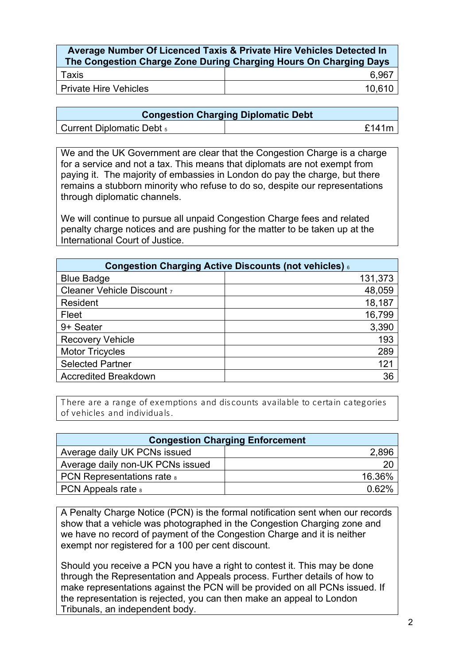| Average Number Of Licenced Taxis & Private Hire Vehicles Detected In<br>The Congestion Charge Zone During Charging Hours On Charging Days |        |
|-------------------------------------------------------------------------------------------------------------------------------------------|--------|
| Taxis                                                                                                                                     | 6.967  |
| l Private Hire Vehicles                                                                                                                   | 10.610 |

| <b>Congestion Charging Diplomatic Debt</b> |              |
|--------------------------------------------|--------------|
| <b>Current Diplomatic Debt</b> 5           | <b>f141m</b> |

We and the UK Government are clear that the Congestion Charge is a charge for a service and not a tax. This means that diplomats are not exempt from paying it. The majority of embassies in London do pay the charge, but there remains a stubborn minority who refuse to do so, despite our representations through diplomatic channels.

We will continue to pursue all unpaid Congestion Charge fees and related penalty charge notices and are pushing for the matter to be taken up at the International Court of Justice.

| Congestion Charging Active Discounts (not vehicles) 6 |         |
|-------------------------------------------------------|---------|
| <b>Blue Badge</b>                                     | 131,373 |
| Cleaner Vehicle Discount 7                            | 48,059  |
| Resident                                              | 18,187  |
| Fleet                                                 | 16,799  |
| 9+ Seater                                             | 3,390   |
| <b>Recovery Vehicle</b>                               | 193     |
| <b>Motor Tricycles</b>                                | 289     |
| <b>Selected Partner</b>                               | 121     |
| <b>Accredited Breakdown</b>                           | 36      |

T here are a range of exemptions and dis counts available to certain categories of vehicles and individuals .

| <b>Congestion Charging Enforcement</b> |          |
|----------------------------------------|----------|
| Average daily UK PCNs issued           | 2,896    |
| Average daily non-UK PCNs issued       | 20       |
| <b>PCN Representations rate &amp;</b>  | 16.36%   |
| <b>PCN</b> Appeals rate $\frac{1}{8}$  | $0.62\%$ |

A Penalty Charge Notice (PCN) is the formal notification sent when our records show that a vehicle was photographed in the Congestion Charging zone and we have no record of payment of the Congestion Charge and it is neither exempt nor registered for a 100 per cent discount.

Should you receive a PCN you have a right to contest it. This may be done through the Representation and Appeals process. Further details of how to make representations against the PCN will be provided on all PCNs issued. If the representation is rejected, you can then make an appeal to London Tribunals, an independent body.